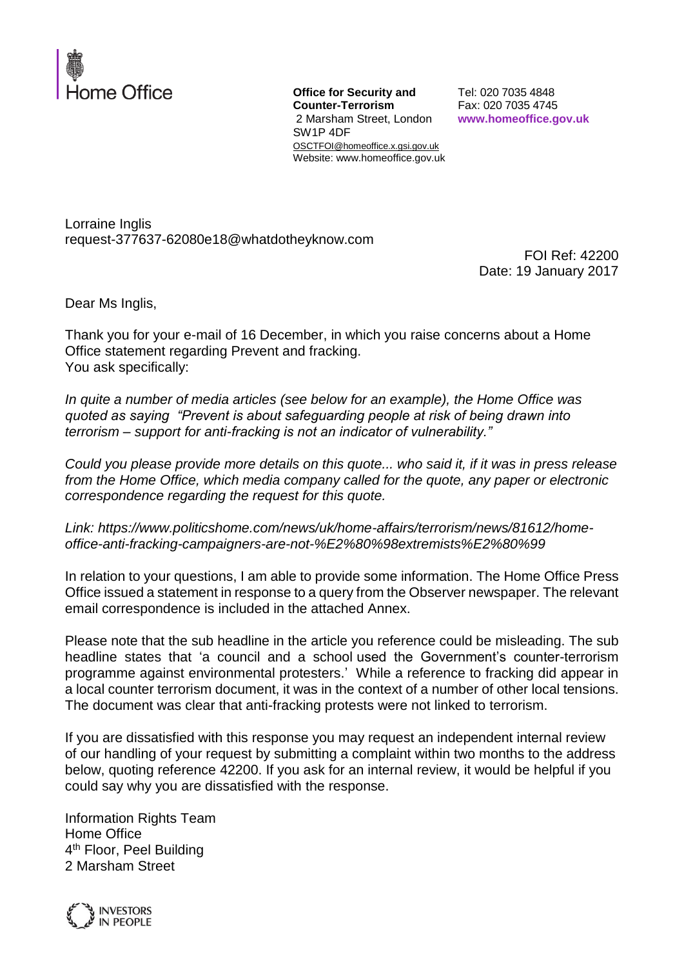

**Office for Security and Counter-Terrorism** 2 Marsham Street, London SW1P 4DF OSCTFOI@homeoffice.x.gsi.gov.uk Website: www.homeoffice.gov.uk

Tel: 020 7035 4848 Fax: 020 7035 4745 **www.homeoffice.gov.uk**

Lorraine Inglis request-377637-62080e18@whatdotheyknow.com

FOI Ref: 42200 Date: 19 January 2017

Dear Ms Inglis,

Thank you for your e-mail of 16 December, in which you raise concerns about a Home Office statement regarding Prevent and fracking. You ask specifically:

*In quite a number of media articles (see below for an example), the Home Office was quoted as saying "Prevent is about safeguarding people at risk of being drawn into terrorism – support for anti-fracking is not an indicator of vulnerability."*

*Could you please provide more details on this quote... who said it, if it was in press release from the Home Office, which media company called for the quote, any paper or electronic correspondence regarding the request for this quote.* 

*Link: https://www.politicshome.com/news/uk/home-affairs/terrorism/news/81612/homeoffice-anti-fracking-campaigners-are-not-%E2%80%98extremists%E2%80%99*

In relation to your questions, I am able to provide some information. The Home Office Press Office issued a statement in response to a query from the Observer newspaper. The relevant email correspondence is included in the attached Annex.

Please note that the sub headline in the article you reference could be misleading. The sub headline states that 'a council and a school used the Government's counter-terrorism programme against environmental protesters.' While a reference to fracking did appear in a local counter terrorism document, it was in the context of a number of other local tensions. The document was clear that anti-fracking protests were not linked to terrorism.

If you are dissatisfied with this response you may request an independent internal review of our handling of your request by submitting a complaint within two months to the address below, quoting reference 42200. If you ask for an internal review, it would be helpful if you could say why you are dissatisfied with the response.

Information Rights Team Home Office 4<sup>th</sup> Floor, Peel Building 2 Marsham Street

**INVESTORS IN PEOPLE**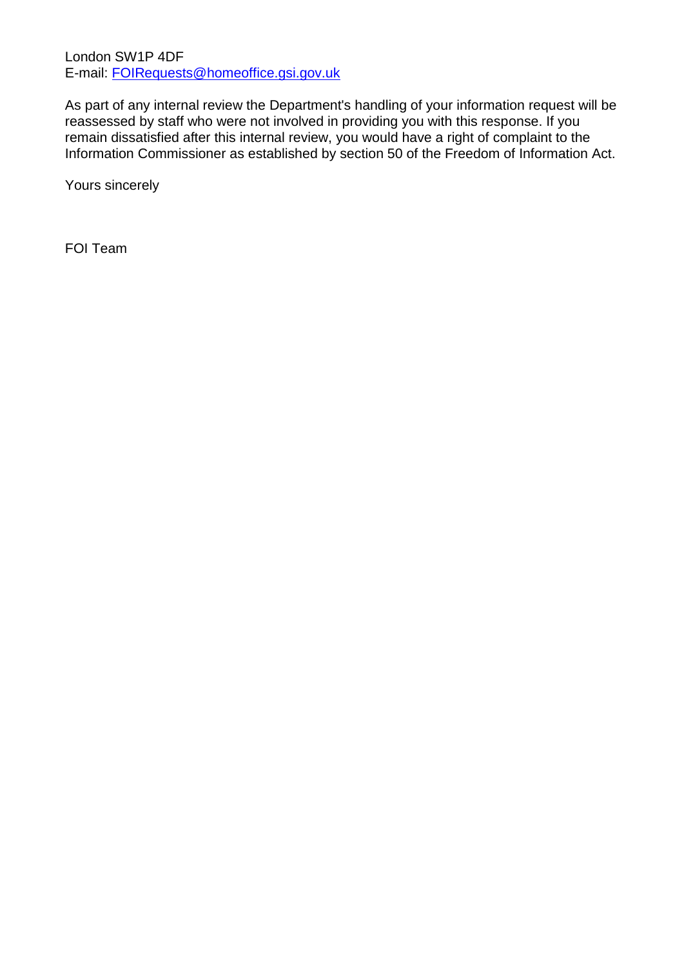London SW1P 4DF E-mail: [FOIRequests@homeoffice.gsi.gov.uk](mailto:xxxxxxxxxxx@xxxxxxxxxx.xxx.xxx.xx)

As part of any internal review the Department's handling of your information request will be reassessed by staff who were not involved in providing you with this response. If you remain dissatisfied after this internal review, you would have a right of complaint to the Information Commissioner as established by section 50 of the Freedom of Information Act.

Yours sincerely

FOI Team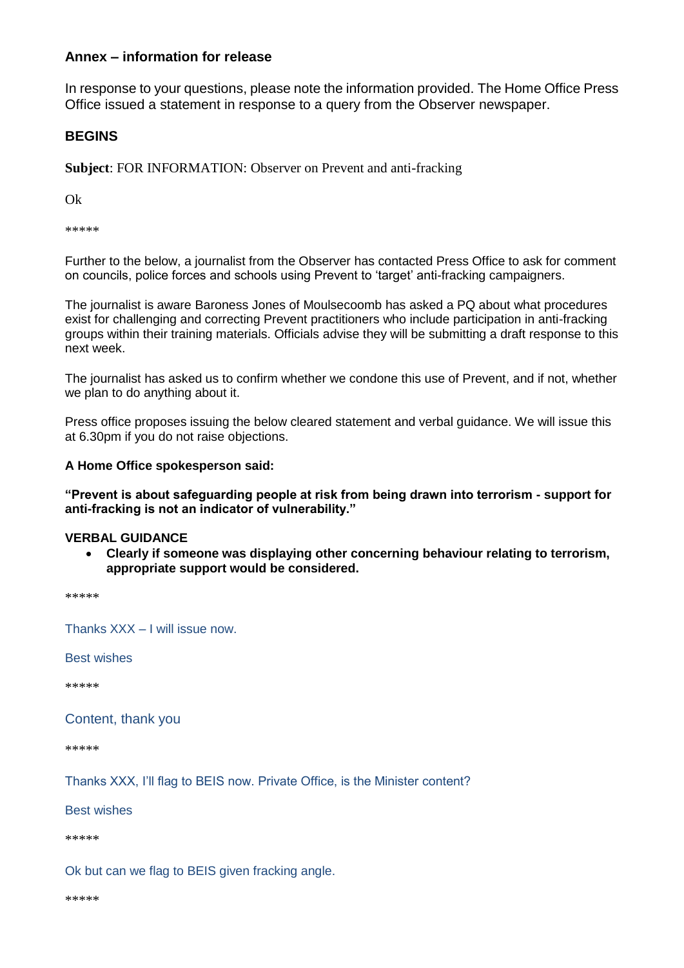# **Annex – information for release**

In response to your questions, please note the information provided. The Home Office Press Office issued a statement in response to a query from the Observer newspaper.

# **BEGINS**

**Subject**: FOR INFORMATION: Observer on Prevent and anti-fracking

Ok

\*\*\*\*\*

Further to the below, a journalist from the Observer has contacted Press Office to ask for comment on councils, police forces and schools using Prevent to 'target' anti-fracking campaigners.

The journalist is aware Baroness Jones of Moulsecoomb has asked a PQ about what procedures exist for challenging and correcting Prevent practitioners who include participation in anti-fracking groups within their training materials. Officials advise they will be submitting a draft response to this next week.

The journalist has asked us to confirm whether we condone this use of Prevent, and if not, whether we plan to do anything about it.

Press office proposes issuing the below cleared statement and verbal guidance. We will issue this at 6.30pm if you do not raise objections.

### **A Home Office spokesperson said:**

**"Prevent is about safeguarding people at risk from being drawn into terrorism - support for anti-fracking is not an indicator of vulnerability."**

#### **VERBAL GUIDANCE**

 **Clearly if someone was displaying other concerning behaviour relating to terrorism, appropriate support would be considered.**

\*\*\*\*\*

Thanks XXX – I will issue now.

Best wishes

\*\*\*\*\*

Content, thank you

\*\*\*\*\*

Thanks XXX, I'll flag to BEIS now. Private Office, is the Minister content?

Best wishes

\*\*\*\*\*

Ok but can we flag to BEIS given fracking angle.

\*\*\*\*\*